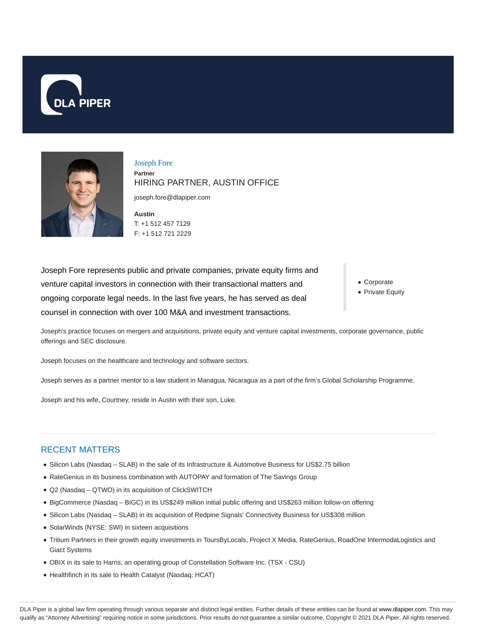



Joseph Fore **Partner** HIRING PARTNER, AUSTIN OFFICE

joseph.fore@dlapiper.com

**Austin** T: +1 512 457 7129 F: +1 512 721 2229

Joseph Fore represents public and private companies, private equity firms and venture capital investors in connection with their transactional matters and ongoing corporate legal needs. In the last five years, he has served as deal counsel in connection with over 100 M&A and investment transactions.

- Corporate
- Private Equity

Joseph's practice focuses on mergers and acquisitions, private equity and venture capital investments, corporate governance, public offerings and SEC disclosure.

Joseph focuses on the healthcare and technology and software sectors.

Joseph serves as a partner mentor to a law student in Managua, Nicaragua as a part of the firm's Global Scholarship Programme.

Joseph and his wife, Courtney, reside in Austin with their son, Luke.

#### RECENT MATTERS

- Silicon Labs (Nasdaq SLAB) in the sale of its Infrastructure & Automotive Business for US\$2.75 billion
- RateGenius in its business combination with AUTOPAY and formation of The Savings Group
- Q2 (Nasdaq QTWO) in its acquisition of ClickSWITCH
- BigCommerce (Nasdaq BIGC) in its US\$249 million initial public offering and US\$263 million follow-on offering
- Silicon Labs (Nasdaq SLAB) in its acquisition of Redpine Signals' Connectivity Business for US\$308 million
- SolarWinds (NYSE: SWI) in sixteen acquisitions
- Tritium Partners in their growth equity investments in ToursByLocals, Project X Media, RateGenius, RoadOne IntermodaLogistics and Giact Systems
- OBIX in its sale to Harris, an operating group of Constellation Software Inc. (TSX CSU)
- Healthfinch in its sale to Health Catalyst (Nasdaq: HCAT)